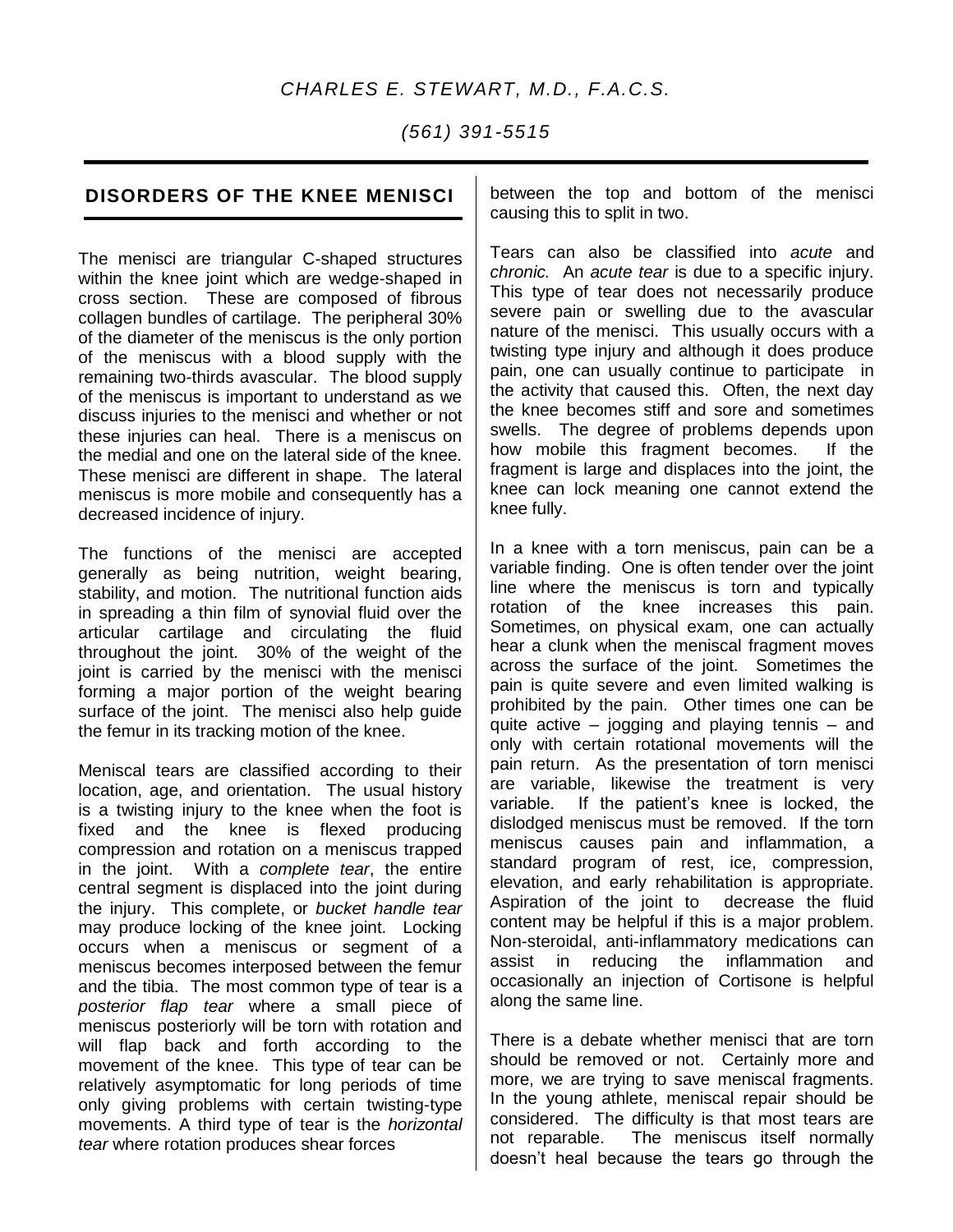# *CHARLES E. STEWART, M.D., F.A.C.S.*

*(561) 391-5515*

# **DISORDERS OF THE KNEE MENISCI**

The menisci are triangular C-shaped structures within the knee joint which are wedge-shaped in cross section. These are composed of fibrous collagen bundles of cartilage. The peripheral 30% of the diameter of the meniscus is the only portion of the meniscus with a blood supply with the remaining two-thirds avascular. The blood supply of the meniscus is important to understand as we discuss injuries to the menisci and whether or not these injuries can heal. There is a meniscus on the medial and one on the lateral side of the knee. These menisci are different in shape. The lateral meniscus is more mobile and consequently has a decreased incidence of injury.

The functions of the menisci are accepted generally as being nutrition, weight bearing, stability, and motion. The nutritional function aids in spreading a thin film of synovial fluid over the articular cartilage and circulating the fluid throughout the joint. 30% of the weight of the joint is carried by the menisci with the menisci forming a major portion of the weight bearing surface of the joint. The menisci also help guide the femur in its tracking motion of the knee.

Meniscal tears are classified according to their location, age, and orientation. The usual history is a twisting injury to the knee when the foot is fixed and the knee is flexed producing compression and rotation on a meniscus trapped in the joint. With a *complete tear*, the entire central segment is displaced into the joint during the injury. This complete, or *bucket handle tear* may produce locking of the knee joint. Locking occurs when a meniscus or segment of a meniscus becomes interposed between the femur and the tibia. The most common type of tear is a *posterior flap tear* where a small piece of meniscus posteriorly will be torn with rotation and will flap back and forth according to the movement of the knee. This type of tear can be relatively asymptomatic for long periods of time only giving problems with certain twisting-type movements. A third type of tear is the *horizontal tear* where rotation produces shear forces

between the top and bottom of the menisci causing this to split in two.

Tears can also be classified into *acute* and *chronic.* An *acute tear* is due to a specific injury. This type of tear does not necessarily produce severe pain or swelling due to the avascular nature of the menisci. This usually occurs with a twisting type injury and although it does produce pain, one can usually continue to participate in the activity that caused this. Often, the next day the knee becomes stiff and sore and sometimes swells. The degree of problems depends upon how mobile this fragment becomes. If the fragment is large and displaces into the joint, the knee can lock meaning one cannot extend the knee fully.

In a knee with a torn meniscus, pain can be a variable finding. One is often tender over the joint line where the meniscus is torn and typically rotation of the knee increases this pain. Sometimes, on physical exam, one can actually hear a clunk when the meniscal fragment moves across the surface of the joint. Sometimes the pain is quite severe and even limited walking is prohibited by the pain. Other times one can be quite active – jogging and playing tennis – and only with certain rotational movements will the pain return. As the presentation of torn menisci are variable, likewise the treatment is very variable. If the patient's knee is locked, the dislodged meniscus must be removed. If the torn meniscus causes pain and inflammation, a standard program of rest, ice, compression, elevation, and early rehabilitation is appropriate. Aspiration of the joint to decrease the fluid content may be helpful if this is a major problem. Non-steroidal, anti-inflammatory medications can assist in reducing the inflammation and occasionally an injection of Cortisone is helpful along the same line.

There is a debate whether menisci that are torn should be removed or not. Certainly more and more, we are trying to save meniscal fragments. In the young athlete, meniscal repair should be considered. The difficulty is that most tears are not reparable. The meniscus itself normally doesn't heal because the tears go through the